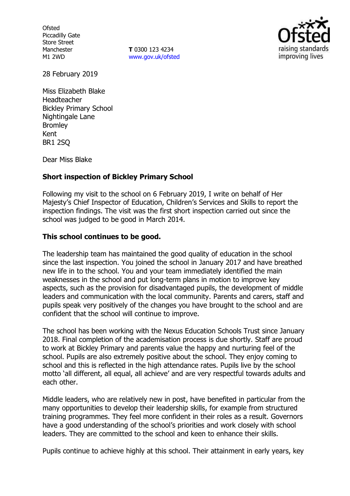**Ofsted** Piccadilly Gate Store Street Manchester M1 2WD

**T** 0300 123 4234 [www.gov.uk/ofsted](http://www.gov.uk/ofsted)



28 February 2019

Miss Elizabeth Blake Headteacher Bickley Primary School Nightingale Lane Bromley Kent BR1 2SQ

Dear Miss Blake

## **Short inspection of Bickley Primary School**

Following my visit to the school on 6 February 2019, I write on behalf of Her Majesty's Chief Inspector of Education, Children's Services and Skills to report the inspection findings. The visit was the first short inspection carried out since the school was judged to be good in March 2014.

### **This school continues to be good.**

The leadership team has maintained the good quality of education in the school since the last inspection. You joined the school in January 2017 and have breathed new life in to the school. You and your team immediately identified the main weaknesses in the school and put long-term plans in motion to improve key aspects, such as the provision for disadvantaged pupils, the development of middle leaders and communication with the local community. Parents and carers, staff and pupils speak very positively of the changes you have brought to the school and are confident that the school will continue to improve.

The school has been working with the Nexus Education Schools Trust since January 2018. Final completion of the academisation process is due shortly. Staff are proud to work at Bickley Primary and parents value the happy and nurturing feel of the school. Pupils are also extremely positive about the school. They enjoy coming to school and this is reflected in the high attendance rates. Pupils live by the school motto 'all different, all equal, all achieve' and are very respectful towards adults and each other.

Middle leaders, who are relatively new in post, have benefited in particular from the many opportunities to develop their leadership skills, for example from structured training programmes. They feel more confident in their roles as a result. Governors have a good understanding of the school's priorities and work closely with school leaders. They are committed to the school and keen to enhance their skills.

Pupils continue to achieve highly at this school. Their attainment in early years, key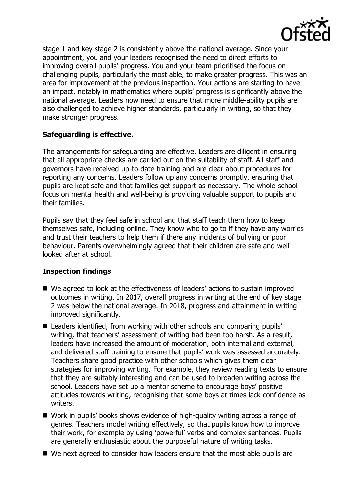

stage 1 and key stage 2 is consistently above the national average. Since your appointment, you and your leaders recognised the need to direct efforts to improving overall pupils' progress. You and your team prioritised the focus on challenging pupils, particularly the most able, to make greater progress. This was an area for improvement at the previous inspection. Your actions are starting to have an impact, notably in mathematics where pupils' progress is significantly above the national average. Leaders now need to ensure that more middle-ability pupils are also challenged to achieve higher standards, particularly in writing, so that they make stronger progress.

## **Safeguarding is effective.**

The arrangements for safeguarding are effective. Leaders are diligent in ensuring that all appropriate checks are carried out on the suitability of staff. All staff and governors have received up-to-date training and are clear about procedures for reporting any concerns. Leaders follow up any concerns promptly, ensuring that pupils are kept safe and that families get support as necessary. The whole-school focus on mental health and well-being is providing valuable support to pupils and their families.

Pupils say that they feel safe in school and that staff teach them how to keep themselves safe, including online. They know who to go to if they have any worries and trust their teachers to help them if there any incidents of bullying or poor behaviour. Parents overwhelmingly agreed that their children are safe and well looked after at school.

# **Inspection findings**

- We agreed to look at the effectiveness of leaders' actions to sustain improved outcomes in writing. In 2017, overall progress in writing at the end of key stage 2 was below the national average. In 2018, progress and attainment in writing improved significantly.
- Leaders identified, from working with other schools and comparing pupils' writing, that teachers' assessment of writing had been too harsh. As a result, leaders have increased the amount of moderation, both internal and external, and delivered staff training to ensure that pupils' work was assessed accurately. Teachers share good practice with other schools which gives them clear strategies for improving writing. For example, they review reading texts to ensure that they are suitably interesting and can be used to broaden writing across the school. Leaders have set up a mentor scheme to encourage boys' positive attitudes towards writing, recognising that some boys at times lack confidence as writers.
- Work in pupils' books shows evidence of high-quality writing across a range of genres. Teachers model writing effectively, so that pupils know how to improve their work, for example by using 'powerful' verbs and complex sentences. Pupils are generally enthusiastic about the purposeful nature of writing tasks.
- We next agreed to consider how leaders ensure that the most able pupils are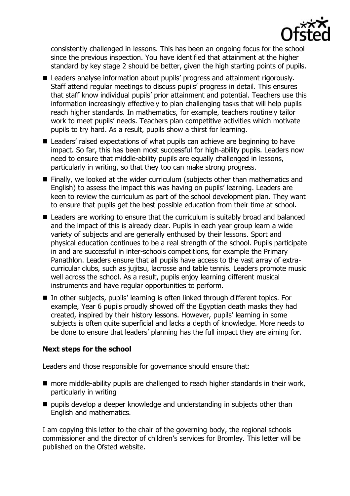

consistently challenged in lessons. This has been an ongoing focus for the school since the previous inspection. You have identified that attainment at the higher standard by key stage 2 should be better, given the high starting points of pupils.

- Leaders analyse information about pupils' progress and attainment rigorously. Staff attend regular meetings to discuss pupils' progress in detail. This ensures that staff know individual pupils' prior attainment and potential. Teachers use this information increasingly effectively to plan challenging tasks that will help pupils reach higher standards. In mathematics, for example, teachers routinely tailor work to meet pupils' needs. Teachers plan competitive activities which motivate pupils to try hard. As a result, pupils show a thirst for learning.
- Leaders' raised expectations of what pupils can achieve are beginning to have impact. So far, this has been most successful for high-ability pupils. Leaders now need to ensure that middle-ability pupils are equally challenged in lessons, particularly in writing, so that they too can make strong progress.
- Finally, we looked at the wider curriculum (subjects other than mathematics and English) to assess the impact this was having on pupils' learning. Leaders are keen to review the curriculum as part of the school development plan. They want to ensure that pupils get the best possible education from their time at school.
- Leaders are working to ensure that the curriculum is suitably broad and balanced and the impact of this is already clear. Pupils in each year group learn a wide variety of subjects and are generally enthused by their lessons. Sport and physical education continues to be a real strength of the school. Pupils participate in and are successful in inter-schools competitions, for example the Primary Panathlon. Leaders ensure that all pupils have access to the vast array of extracurricular clubs, such as jujitsu, lacrosse and table tennis. Leaders promote music well across the school. As a result, pupils enjoy learning different musical instruments and have regular opportunities to perform.
- In other subjects, pupils' learning is often linked through different topics. For example, Year 6 pupils proudly showed off the Egyptian death masks they had created, inspired by their history lessons. However, pupils' learning in some subjects is often quite superficial and lacks a depth of knowledge. More needs to be done to ensure that leaders' planning has the full impact they are aiming for.

### **Next steps for the school**

Leaders and those responsible for governance should ensure that:

- more middle-ability pupils are challenged to reach higher standards in their work, particularly in writing
- $\blacksquare$  pupils develop a deeper knowledge and understanding in subjects other than English and mathematics.

I am copying this letter to the chair of the governing body, the regional schools commissioner and the director of children's services for Bromley. This letter will be published on the Ofsted website.